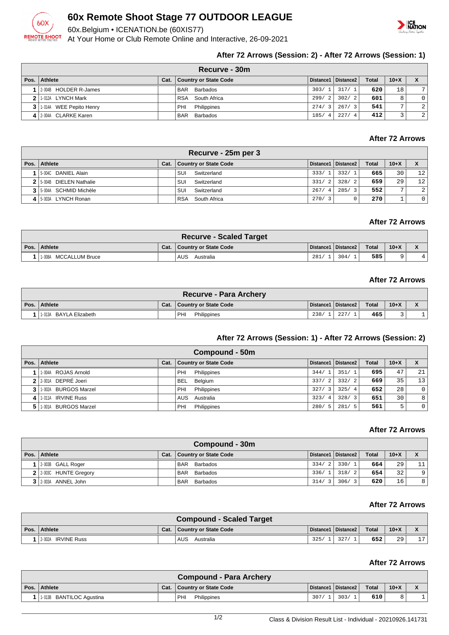

# **60x Remote Shoot Stage 77 OUTDOOR LEAGUE**

60x.Belgium • ICENATION.be (60XIS77)

At Your Home or Club Remote Online and Interactive, 26-09-2021



## **After 72 Arrows (Session: 2) - After 72 Arrows (Session: 1)**

|      | Recurve - 30m             |      |                              |             |                        |              |        |                |  |  |  |
|------|---------------------------|------|------------------------------|-------------|------------------------|--------------|--------|----------------|--|--|--|
| Pos. | Athlete                   | Cat. | <b>Country or State Code</b> |             | Distance1   Distance2  | <b>Total</b> | $10+X$ |                |  |  |  |
|      | 2004B HOLDER R-James      |      | Barbados<br><b>BAR</b>       | 303/1       | 317/1                  | 620          | 18     | 7 <sup>1</sup> |  |  |  |
|      | 2 1.012A LYNCH Mark       |      | RSA<br>South Africa          | 299/2       | 302/2                  | 601          | 8      | $\overline{0}$ |  |  |  |
|      | 3 1.014A WEE Pepito Henry |      | PHI<br>Philippines           | 274/3       | 267/3                  | 541          | ⇁      | $\overline{2}$ |  |  |  |
|      | 4 2-004A CLARKE Karen     |      | <b>BAR</b><br>Barbados       | 185/<br>- 4 | 227/<br>$\overline{4}$ | 412          |        | $\overline{2}$ |  |  |  |

# **After 72 Arrows**

| Recurve - 25m per 3      |      |                              |            |                        |              |                |                |  |  |  |
|--------------------------|------|------------------------------|------------|------------------------|--------------|----------------|----------------|--|--|--|
| Pos.   Athlete           | Cat. | <b>Country or State Code</b> |            | Distance1   Distance2  | <b>Total</b> | $10+X$         |                |  |  |  |
| 1 5-004C DANIEL Alain    |      | SUI<br>Switzerland           | 333/1      | 332/<br>$\overline{1}$ | 665          | 30             | 12             |  |  |  |
| 2 5-004B DIELEN Nathalie |      | SUI<br>Switzerland           | 331/2      | 328/<br>$\overline{2}$ | 659          | 29             | 12             |  |  |  |
| 3 5-004A SCHMID Michèle  |      | Switzerland<br>SUI           | 267/<br>-4 | 285/3                  | 552          | $\overline{ }$ | 2 <sup>1</sup> |  |  |  |
| 4 5-003A LYNCH Ronan     |      | South Africa<br><b>RSA</b>   | 270/3      |                        | 270          |                | 0 <sup>1</sup> |  |  |  |

#### **After 72 Arrows**

| <b>Recurve - Scaled Target</b> |      |                           |      |                       |       |        |  |  |  |  |
|--------------------------------|------|---------------------------|------|-----------------------|-------|--------|--|--|--|--|
| Pos.   Athlete                 | Cat. | .   Country or State Code |      | Distance1   Distance2 | Total | $10+X$ |  |  |  |  |
| MCCALLUM Bruce<br>1-008A       |      | AUS<br>Australia          | 281/ | 304/1                 | 585   | a      |  |  |  |  |

#### **After 72 Arrows**

| <b>Recurve - Para Archery</b> |  |                              |      |                       |       |        |  |  |  |  |
|-------------------------------|--|------------------------------|------|-----------------------|-------|--------|--|--|--|--|
| Pos. Athlete                  |  | Cat.   Country or State Code |      | Distance1   Distance2 | Total | $10+X$ |  |  |  |  |
| 1.013A BAYLA Elizabeth        |  | PHI<br>Philippines           | 238/ | 227/                  | 465'  |        |  |  |  |  |

#### **After 72 Arrows (Session: 1) - After 72 Arrows (Session: 2)**

|      | Compound - 50m       |      |                       |                        |                       |              |        |    |  |  |
|------|----------------------|------|-----------------------|------------------------|-----------------------|--------------|--------|----|--|--|
| Pos. | Athlete              | Cat. | Country or State Code |                        | Distance1   Distance2 | <b>Total</b> | $10+X$ |    |  |  |
|      | 1-004A ROJAS Arnold  |      | PHI<br>Philippines    | 344/                   | 351/1                 | 695          | 47     | 21 |  |  |
|      | 2 2 001A DEPRÉ Joeri |      | Belgium<br><b>BEL</b> | 337/<br>$\overline{2}$ | 332/2                 | 669          | 35     | 13 |  |  |
|      | 1.002A BURGOS Marzel |      | Philippines<br>PHI    | 327/<br>$\mathbf{3}$   | 325/4                 | 652          | 28     | 0  |  |  |
| 41   | 1-011A IRVINE Russ   |      | AUS<br>Australia      | 323/<br>$\overline{4}$ | 328/3                 | 651          | 30     | 8  |  |  |
|      | 1.001A BURGOS Marzel |      | Philippines<br>PHI    | 280/<br>.5             | 281/5                 | 561          | 5      |    |  |  |

#### **After 72 Arrows**

| Compound - 30m         |      |                              |       |                       |              |                 |    |  |  |  |
|------------------------|------|------------------------------|-------|-----------------------|--------------|-----------------|----|--|--|--|
| Pos. Athlete           | Cat. | <b>Country or State Code</b> |       | Distance1   Distance2 | <b>Total</b> | $10+X$          |    |  |  |  |
| 2-003B GALL Roger      |      | <b>BAR</b><br>Barbados       |       | 334/2 330/1           | 664          | 29              | 11 |  |  |  |
| 2 2:003C HUNTE Gregory |      | BAR Barbados                 | 336/1 | 318/2                 | 654          | 32              | 9  |  |  |  |
| 3 2-003A ANNEL John    |      | Barbados<br><b>BAR</b>       | 314/3 | 306/3                 | 620          | 16 <sup>1</sup> | 8  |  |  |  |

#### **After 72 Arrows**

| <b>Compound - Scaled Target</b> |  |                              |      |                       |       |        |                |  |  |  |
|---------------------------------|--|------------------------------|------|-----------------------|-------|--------|----------------|--|--|--|
| Pos. Athlete                    |  | Cat.   Country or State Code |      | Distance1   Distance2 | Total | $10+X$ |                |  |  |  |
| 1 2002A IRVINE Russ             |  | AUS<br>Australia             | 325/ | 327/                  | 652   | 29     | 7 <sub>7</sub> |  |  |  |

#### **After 72 Arrows**

|                          | Compound - Para Archery      |      |                       |              |        |  |
|--------------------------|------------------------------|------|-----------------------|--------------|--------|--|
| Pos. Athlete             | Cat.   Country or State Code |      | Distance1   Distance2 | <b>Total</b> | $10+X$ |  |
| 1-013B BANTILOC Agustina | PHI<br>Philippines           | 307/ | 303/                  | 610          |        |  |